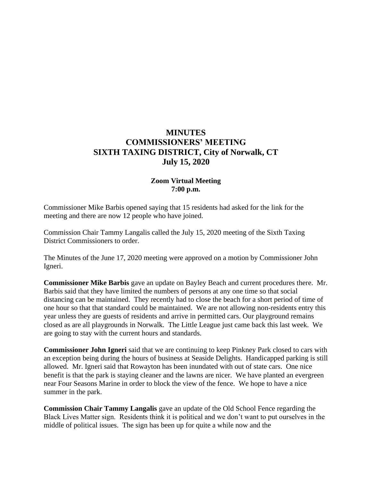# **MINUTES COMMISSIONERS' MEETING SIXTH TAXING DISTRICT, City of Norwalk, CT July 15, 2020**

# **Zoom Virtual Meeting 7:00 p.m.**

Commissioner Mike Barbis opened saying that 15 residents had asked for the link for the meeting and there are now 12 people who have joined.

Commission Chair Tammy Langalis called the July 15, 2020 meeting of the Sixth Taxing District Commissioners to order.

The Minutes of the June 17, 2020 meeting were approved on a motion by Commissioner John Igneri.

**Commissioner Mike Barbis** gave an update on Bayley Beach and current procedures there. Mr. Barbis said that they have limited the numbers of persons at any one time so that social distancing can be maintained. They recently had to close the beach for a short period of time of one hour so that that standard could be maintained. We are not allowing non-residents entry this year unless they are guests of residents and arrive in permitted cars. Our playground remains closed as are all playgrounds in Norwalk. The Little League just came back this last week. We are going to stay with the current hours and standards.

**Commissioner John Igneri** said that we are continuing to keep Pinkney Park closed to cars with an exception being during the hours of business at Seaside Delights. Handicapped parking is still allowed. Mr. Igneri said that Rowayton has been inundated with out of state cars. One nice benefit is that the park is staying cleaner and the lawns are nicer. We have planted an evergreen near Four Seasons Marine in order to block the view of the fence. We hope to have a nice summer in the park.

**Commission Chair Tammy Langalis** gave an update of the Old School Fence regarding the Black Lives Matter sign. Residents think it is political and we don't want to put ourselves in the middle of political issues. The sign has been up for quite a while now and the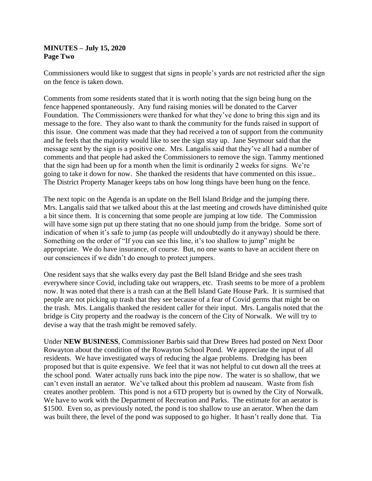# **MINUTES – July 15, 2020 Page Two**

Commissioners would like to suggest that signs in people's yards are not restricted after the sign on the fence is taken down.

Comments from some residents stated that it is worth noting that the sign being hung on the fence happened spontaneously. Any fund raising monies will be donated to the Carver Foundation. The Commissioners were thanked for what they've done to bring this sign and its message to the fore. They also want to thank the community for the funds raised in support of this issue. One comment was made that they had received a ton of support from the community and he feels that the majority would like to see the sign stay up. Jane Seymour said that the message sent by the sign is a positive one. Mrs. Langalis said that they've all had a number of comments and that people had asked the Commissioners to remove the sign. Tammy mentioned that the sign had been up for a month when the limit is ordinarily 2 weeks for signs. We're going to take it down for now. She thanked the residents that have commented on this issue.. The District Property Manager keeps tabs on how long things have been hung on the fence.

The next topic on the Agenda is an update on the Bell Island Bridge and the jumping there. Mrs. Langalis said that we talked about this at the last meeting and crowds have diminished quite a bit since them. It is concerning that some people are jumping at low tide. The Commission will have some sign put up there stating that no one should jump from the bridge. Some sort of indication of when it's safe to jump (as people will undoubtedly do it anyway) should be there. Something on the order of "If you can see this line, it's too shallow to jump" might be appropriate. We do have insurance, of course. But, no one wants to have an accident there on our consciences if we didn't do enough to protect jumpers.

One resident says that she walks every day past the Bell Island Bridge and she sees trash everywhere since Covid, including take out wrappers, etc. Trash seems to be more of a problem now. It was noted that there is a trash can at the Bell Island Gate House Park. It is surmised that people are not picking up trash that they see because of a fear of Covid germs that might be on the trash. Mrs. Langalis thanked the resident caller for their input. Mrs. Langalis noted that the bridge is City property and the roadway is the concern of the City of Norwalk. We will try to devise a way that the trash might be removed safely.

Under **NEW BUSINESS**, Commissioner Barbis said that Drew Brees had posted on Next Door Rowayton about the condition of the Rowayton School Pond. We appreciate the input of all residents. We have investigated ways of reducing the algae problems. Dredging has been proposed but that is quite expensive. We feel that it was not helpful to cut down all the trees at the school pond. Water actually runs back into the pipe now. The water is so shallow, that we can't even install an aerator. We've talked about this problem ad nauseam. Waste from fish creates another problem. This pond is not a 6TD property but is owned by the City of Norwalk. We have to work with the Department of Recreation and Parks. The estimate for an aerator is \$1500. Even so, as previously noted, the pond is too shallow to use an aerator. When the dam was built there, the level of the pond was supposed to go higher. It hasn't really done that. Tia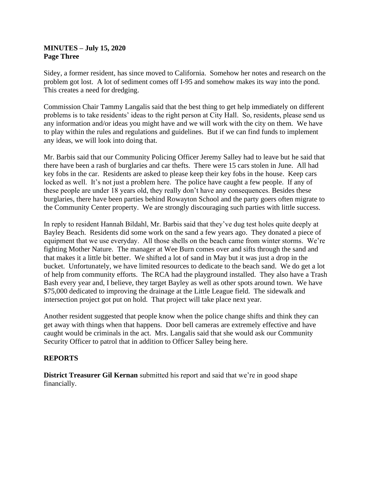# **MINUTES – July 15, 2020 Page Three**

Sidey, a former resident, has since moved to California. Somehow her notes and research on the problem got lost. A lot of sediment comes off I-95 and somehow makes its way into the pond. This creates a need for dredging.

Commission Chair Tammy Langalis said that the best thing to get help immediately on different problems is to take residents' ideas to the right person at City Hall. So, residents, please send us any information and/or ideas you might have and we will work with the city on them. We have to play within the rules and regulations and guidelines. But if we can find funds to implement any ideas, we will look into doing that.

Mr. Barbis said that our Community Policing Officer Jeremy Salley had to leave but he said that there have been a rash of burglaries and car thefts. There were 15 cars stolen in June. All had key fobs in the car. Residents are asked to please keep their key fobs in the house. Keep cars locked as well. It's not just a problem here. The police have caught a few people. If any of these people are under 18 years old, they really don't have any consequences. Besides these burglaries, there have been parties behind Rowayton School and the party goers often migrate to the Community Center property. We are strongly discouraging such parties with little success.

In reply to resident Hannah Bildahl, Mr. Barbis said that they've dug test holes quite deeply at Bayley Beach. Residents did some work on the sand a few years ago. They donated a piece of equipment that we use everyday. All those shells on the beach came from winter storms. We're fighting Mother Nature. The manager at Wee Burn comes over and sifts through the sand and that makes it a little bit better. We shifted a lot of sand in May but it was just a drop in the bucket. Unfortunately, we have limited resources to dedicate to the beach sand. We do get a lot of help from community efforts. The RCA had the playground installed. They also have a Trash Bash every year and, I believe, they target Bayley as well as other spots around town. We have \$75,000 dedicated to improving the drainage at the Little League field. The sidewalk and intersection project got put on hold. That project will take place next year.

Another resident suggested that people know when the police change shifts and think they can get away with things when that happens. Door bell cameras are extremely effective and have caught would be criminals in the act. Mrs. Langalis said that she would ask our Community Security Officer to patrol that in addition to Officer Salley being here.

# **REPORTS**

**District Treasurer Gil Kernan** submitted his report and said that we're in good shape financially.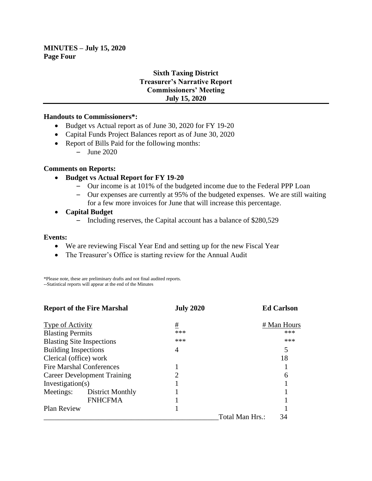**MINUTES – July 15, 2020 Page Four**

# **Sixth Taxing District Treasurer's Narrative Report Commissioners' Meeting July 15, 2020**

#### **Handouts to Commissioners\*:**

- Budget vs Actual report as of June 30, 2020 for FY 19-20
- Capital Funds Project Balances report as of June 30, 2020
- Report of Bills Paid for the following months:
	- June 2020

# **Comments on Reports:**

- **Budget vs Actual Report for FY 19-20**
	- Our income is at 101% of the budgeted income due to the Federal PPP Loan
	- Our expenses are currently at 95% of the budgeted expenses. We are still waiting for a few more invoices for June that will increase this percentage.
- **Capital Budget**
	- Including reserves, the Capital account has a balance of \$280,529

#### **Events:**

- We are reviewing Fiscal Year End and setting up for the new Fiscal Year
- The Treasurer's Office is starting review for the Annual Audit

\*Please note, these are preliminary drafts and not final audited reports. --Statistical reports will appear at the end of the Minutes

| <b>Report of the Fire Marshal</b>  |                  | <b>July 2020</b>            |                 | <b>Ed Carlson</b> |
|------------------------------------|------------------|-----------------------------|-----------------|-------------------|
| <b>Type of Activity</b>            |                  | #                           |                 | # Man Hours       |
| <b>Blasting Permits</b>            |                  | ***                         |                 | ***               |
| <b>Blasting Site Inspections</b>   |                  | ***                         |                 | ***               |
| <b>Building Inspections</b>        |                  | 4                           |                 |                   |
| Clerical (office) work             |                  |                             |                 | 18                |
| <b>Fire Marshal Conferences</b>    |                  |                             |                 |                   |
| <b>Career Development Training</b> |                  | $\mathcal{D}_{\mathcal{L}}$ |                 | 6                 |
| Investigation(s)                   |                  |                             |                 |                   |
| Meetings:                          | District Monthly |                             |                 |                   |
|                                    | <b>FNHCFMA</b>   |                             |                 |                   |
| Plan Review                        |                  |                             |                 |                   |
|                                    |                  |                             | Total Man Hrs.: | 34                |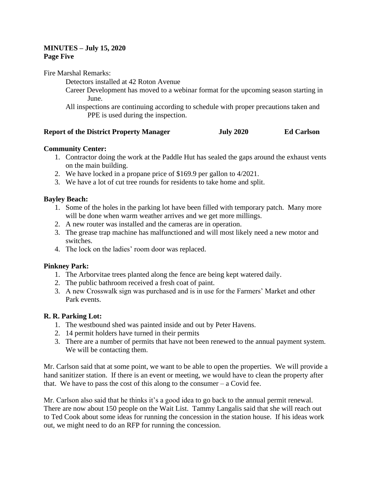# **MINUTES – July 15, 2020 Page Five**

Fire Marshal Remarks:

Detectors installed at 42 Roton Avenue

- Career Development has moved to a webinar format for the upcoming season starting in June.
- All inspections are continuing according to schedule with proper precautions taken and PPE is used during the inspection.

#### **Report of the District Property Manager July 2020 Ed Carlson**

# **Community Center:**

- 1. Contractor doing the work at the Paddle Hut has sealed the gaps around the exhaust vents on the main building.
- 2. We have locked in a propane price of \$169.9 per gallon to 4/2021.
- 3. We have a lot of cut tree rounds for residents to take home and split.

# **Bayley Beach:**

- 1. Some of the holes in the parking lot have been filled with temporary patch. Many more will be done when warm weather arrives and we get more millings.
- 2. A new router was installed and the cameras are in operation.
- 3. The grease trap machine has malfunctioned and will most likely need a new motor and switches.
- 4. The lock on the ladies' room door was replaced.

# **Pinkney Park:**

- 1. The Arborvitae trees planted along the fence are being kept watered daily.
- 2. The public bathroom received a fresh coat of paint.
- 3. A new Crosswalk sign was purchased and is in use for the Farmers' Market and other Park events.

# **R. R. Parking Lot:**

- 1. The westbound shed was painted inside and out by Peter Havens.
- 2. 14 permit holders have turned in their permits
- 3. There are a number of permits that have not been renewed to the annual payment system. We will be contacting them.

Mr. Carlson said that at some point, we want to be able to open the properties. We will provide a hand sanitizer station. If there is an event or meeting, we would have to clean the property after that. We have to pass the cost of this along to the consumer  $-$  a Covid fee.

Mr. Carlson also said that he thinks it's a good idea to go back to the annual permit renewal. There are now about 150 people on the Wait List. Tammy Langalis said that she will reach out to Ted Cook about some ideas for running the concession in the station house. If his ideas work out, we might need to do an RFP for running the concession.